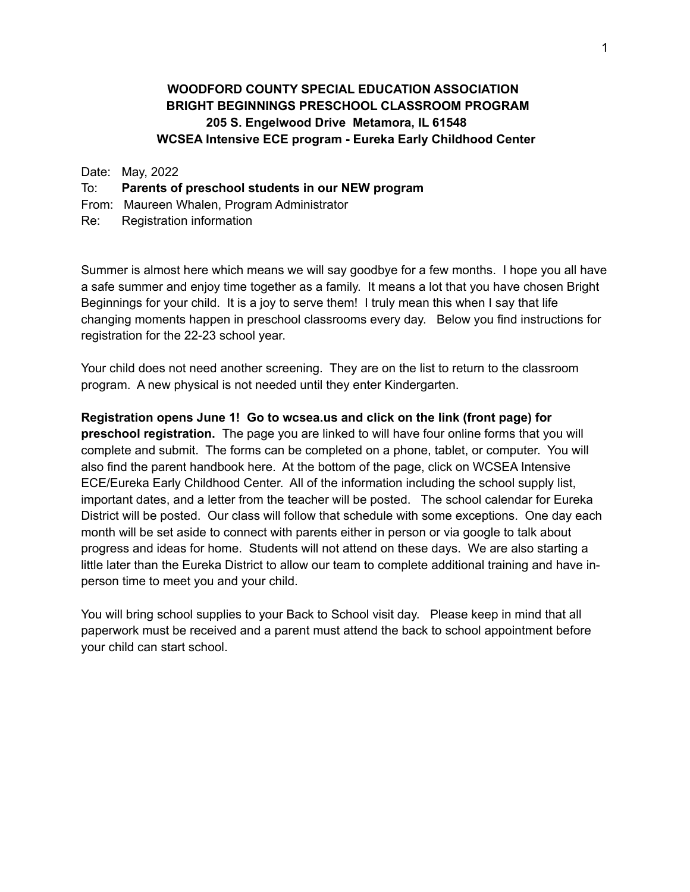# **WOODFORD COUNTY SPECIAL EDUCATION ASSOCIATION BRIGHT BEGINNINGS PRESCHOOL CLASSROOM PROGRAM 205 S. Engelwood Drive Metamora, IL 61548 WCSEA Intensive ECE program - Eureka Early Childhood Center**

#### Date: May, 2022

### To: **Parents of preschool students in our NEW program**

- From: Maureen Whalen, Program Administrator
- Re: Registration information

Summer is almost here which means we will say goodbye for a few months. I hope you all have a safe summer and enjoy time together as a family. It means a lot that you have chosen Bright Beginnings for your child. It is a joy to serve them! I truly mean this when I say that life changing moments happen in preschool classrooms every day. Below you find instructions for registration for the 22-23 school year.

Your child does not need another screening. They are on the list to return to the classroom program. A new physical is not needed until they enter Kindergarten.

### **Registration opens June 1! Go to wcsea.us and click on the link (front page) for**

**preschool registration.** The page you are linked to will have four online forms that you will complete and submit. The forms can be completed on a phone, tablet, or computer. You will also find the parent handbook here. At the bottom of the page, click on WCSEA Intensive ECE/Eureka Early Childhood Center. All of the information including the school supply list, important dates, and a letter from the teacher will be posted. The school calendar for Eureka District will be posted. Our class will follow that schedule with some exceptions. One day each month will be set aside to connect with parents either in person or via google to talk about progress and ideas for home. Students will not attend on these days. We are also starting a little later than the Eureka District to allow our team to complete additional training and have inperson time to meet you and your child.

You will bring school supplies to your Back to School visit day. Please keep in mind that all paperwork must be received and a parent must attend the back to school appointment before your child can start school.